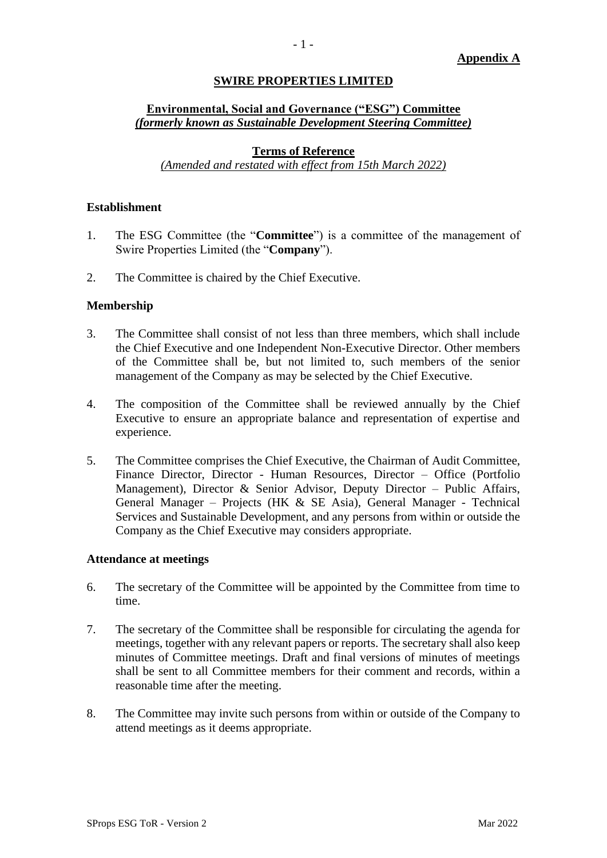## **SWIRE PROPERTIES LIMITED**

# **Environmental, Social and Governance ("ESG") Committee** *(formerly known as Sustainable Development Steering Committee)*

# **Terms of Reference**

*(Amended and restated with effect from 15th March 2022)*

## **Establishment**

- 1. The ESG Committee (the "**Committee**") is a committee of the management of Swire Properties Limited (the "**Company**").
- 2. The Committee is chaired by the Chief Executive.

## **Membership**

- 3. The Committee shall consist of not less than three members, which shall include the Chief Executive and one Independent Non-Executive Director. Other members of the Committee shall be, but not limited to, such members of the senior management of the Company as may be selected by the Chief Executive.
- 4. The composition of the Committee shall be reviewed annually by the Chief Executive to ensure an appropriate balance and representation of expertise and experience.
- 5. The Committee comprises the Chief Executive, the Chairman of Audit Committee, Finance Director, Director - Human Resources, Director – Office (Portfolio Management), Director & Senior Advisor, Deputy Director – Public Affairs, General Manager – Projects (HK & SE Asia), General Manager - Technical Services and Sustainable Development, and any persons from within or outside the Company as the Chief Executive may considers appropriate.

#### **Attendance at meetings**

- 6. The secretary of the Committee will be appointed by the Committee from time to time.
- 7. The secretary of the Committee shall be responsible for circulating the agenda for meetings, together with any relevant papers or reports. The secretary shall also keep minutes of Committee meetings. Draft and final versions of minutes of meetings shall be sent to all Committee members for their comment and records, within a reasonable time after the meeting.
- 8. The Committee may invite such persons from within or outside of the Company to attend meetings as it deems appropriate.